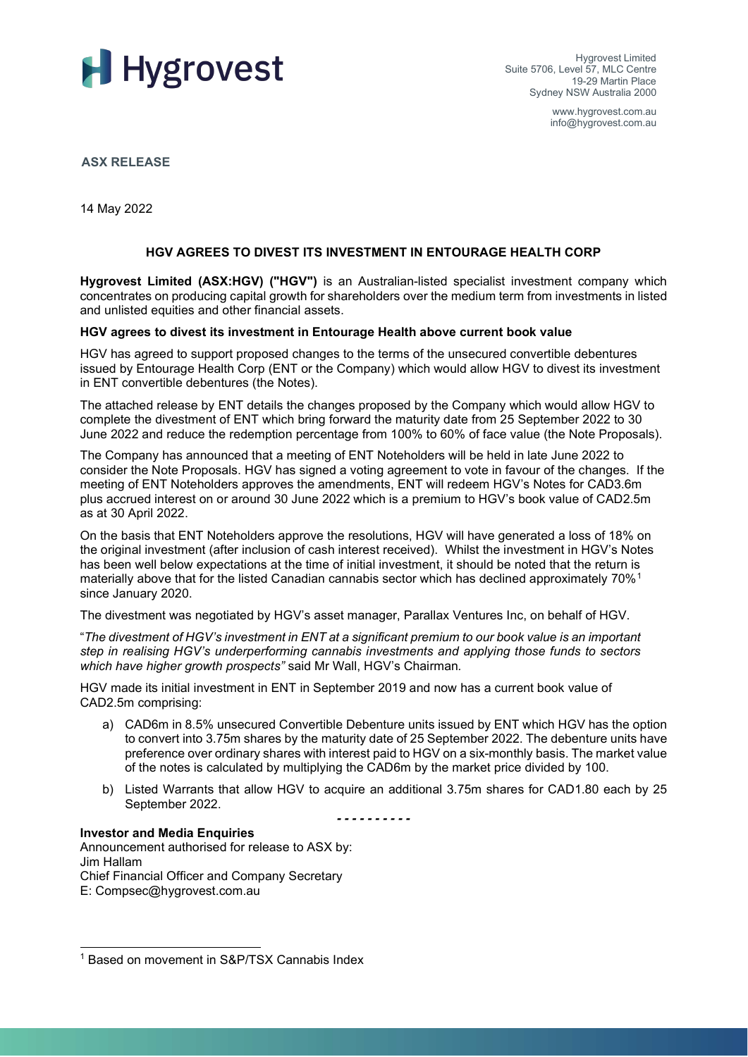

Hygrovest Limited Suite 5706, Level 57, MLC Centre 19-29 Martin Place Sydney NSW Australia 2000

> www.hygrovest.com.au info@hygrovest.com.au

**ASX RELEASE**

14 May 2022

## **HGV AGREES TO DIVEST ITS INVESTMENT IN ENTOURAGE HEALTH CORP**

**Hygrovest Limited (ASX:HGV) ("HGV")** is an Australian-listed specialist investment company which concentrates on producing capital growth for shareholders over the medium term from investments in listed and unlisted equities and other financial assets.

#### **HGV agrees to divest its investment in Entourage Health above current book value**

HGV has agreed to support proposed changes to the terms of the unsecured convertible debentures issued by Entourage Health Corp (ENT or the Company) which would allow HGV to divest its investment in ENT convertible debentures (the Notes).

The attached release by ENT details the changes proposed by the Company which would allow HGV to complete the divestment of ENT which bring forward the maturity date from 25 September 2022 to 30 June 2022 and reduce the redemption percentage from 100% to 60% of face value (the Note Proposals).

The Company has announced that a meeting of ENT Noteholders will be held in late June 2022 to consider the Note Proposals. HGV has signed a voting agreement to vote in favour of the changes. If the meeting of ENT Noteholders approves the amendments, ENT will redeem HGV's Notes for CAD3.6m plus accrued interest on or around 30 June 2022 which is a premium to HGV's book value of CAD2.5m as at 30 April 2022.

On the basis that ENT Noteholders approve the resolutions, HGV will have generated a loss of 18% on the original investment (after inclusion of cash interest received). Whilst the investment in HGV's Notes has been well below expectations at the time of initial investment, it should be noted that the return is materially above that for the listed Canadian cannabis sector which has declined approximately 70%<sup>[1](#page-0-0)</sup> since January 2020.

The divestment was negotiated by HGV's asset manager, Parallax Ventures Inc, on behalf of HGV.

"*The divestment of HGV's investment in ENT at a significant premium to our book value is an important step in realising HGV's underperforming cannabis investments and applying those funds to sectors which have higher growth prospects"* said Mr Wall, HGV's Chairman*.* 

HGV made its initial investment in ENT in September 2019 and now has a current book value of CAD2.5m comprising:

- a) CAD6m in 8.5% unsecured Convertible Debenture units issued by ENT which HGV has the option to convert into 3.75m shares by the maturity date of 25 September 2022. The debenture units have preference over ordinary shares with interest paid to HGV on a six-monthly basis. The market value of the notes is calculated by multiplying the CAD6m by the market price divided by 100.
- b) Listed Warrants that allow HGV to acquire an additional 3.75m shares for CAD1.80 each by 25 September 2022.

*- - - - - - - - - -* 

### **Investor and Media Enquiries**

Announcement authorised for release to ASX by: Jim Hallam Chief Financial Officer and Company Secretary E: Compsec@hygrovest.com.au

<span id="page-0-0"></span><sup>1</sup> Based on movement in S&P/TSX Cannabis Index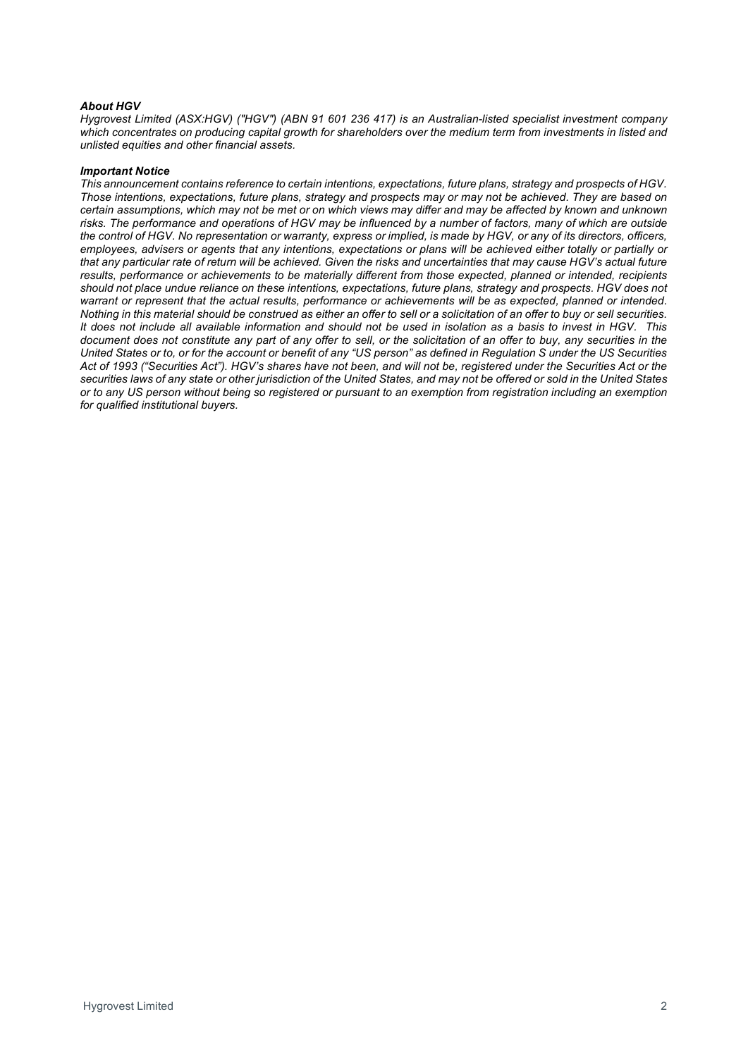#### *About HGV*

*Hygrovest Limited (ASX:HGV) ("HGV") (ABN 91 601 236 417) is an Australian-listed specialist investment company*  which concentrates on producing capital growth for shareholders over the medium term from investments in listed and *unlisted equities and other financial assets.*

#### *Important Notice*

*This announcement contains reference to certain intentions, expectations, future plans, strategy and prospects of HGV. Those intentions, expectations, future plans, strategy and prospects may or may not be achieved. They are based on certain assumptions, which may not be met or on which views may differ and may be affected by known and unknown risks. The performance and operations of HGV may be influenced by a number of factors, many of which are outside the control of HGV. No representation or warranty, express or implied, is made by HGV, or any of its directors, officers, employees, advisers or agents that any intentions, expectations or plans will be achieved either totally or partially or that any particular rate of return will be achieved. Given the risks and uncertainties that may cause HGV's actual future*  results, performance or achievements to be materially different from those expected, planned or intended, recipients *should not place undue reliance on these intentions, expectations, future plans, strategy and prospects. HGV does not*  warrant or represent that the actual results, performance or achievements will be as expected, planned or intended. *Nothing in this material should be construed as either an offer to sell or a solicitation of an offer to buy or sell securities. It does not include all available information and should not be used in isolation as a basis to invest in HGV. This document does not constitute any part of any offer to sell, or the solicitation of an offer to buy, any securities in the United States or to, or for the account or benefit of any "US person" as defined in Regulation S under the US Securities Act of 1993 ("Securities Act"). HGV's shares have not been, and will not be, registered under the Securities Act or the securities laws of any state or other jurisdiction of the United States, and may not be offered or sold in the United States or to any US person without being so registered or pursuant to an exemption from registration including an exemption for qualified institutional buyers.*